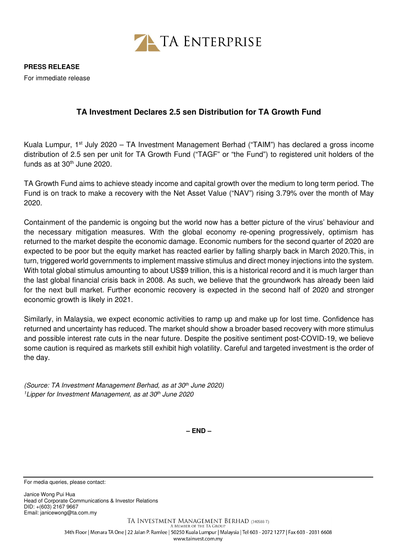

For immediate release

## **TA Investment Declares 2.5 sen Distribution for TA Growth Fund**

Kuala Lumpur, 1st July 2020 – TA Investment Management Berhad ("TAIM") has declared a gross income distribution of 2.5 sen per unit for TA Growth Fund ("TAGF" or "the Fund") to registered unit holders of the funds as at  $30<sup>th</sup>$  June 2020.

TA Growth Fund aims to achieve steady income and capital growth over the medium to long term period. The Fund is on track to make a recovery with the Net Asset Value ("NAV") rising 3.79% over the month of May 2020.

Containment of the pandemic is ongoing but the world now has a better picture of the virus' behaviour and the necessary mitigation measures. With the global economy re-opening progressively, optimism has returned to the market despite the economic damage. Economic numbers for the second quarter of 2020 are expected to be poor but the equity market has reacted earlier by falling sharply back in March 2020.This, in turn, triggered world governments to implement massive stimulus and direct money injections into the system. With total global stimulus amounting to about US\$9 trillion, this is a historical record and it is much larger than the last global financial crisis back in 2008. As such, we believe that the groundwork has already been laid for the next bull market. Further economic recovery is expected in the second half of 2020 and stronger economic growth is likely in 2021.

Similarly, in Malaysia, we expect economic activities to ramp up and make up for lost time. Confidence has returned and uncertainty has reduced. The market should show a broader based recovery with more stimulus and possible interest rate cuts in the near future. Despite the positive sentiment post-COVID-19, we believe some caution is required as markets still exhibit high volatility. Careful and targeted investment is the order of the day.

(Source: TA Investment Management Berhad, as at 30<sup>th</sup> June 2020) <sup>1</sup>Lipper for Investment Management, as at 30<sup>th</sup> June 2020

**– END –**

For media queries, please contact:

Janice Wong Pui Hua Head of Corporate Communications & Investor Relations DID: +(603) 2167 9667 Email: janicewong@ta.com.my